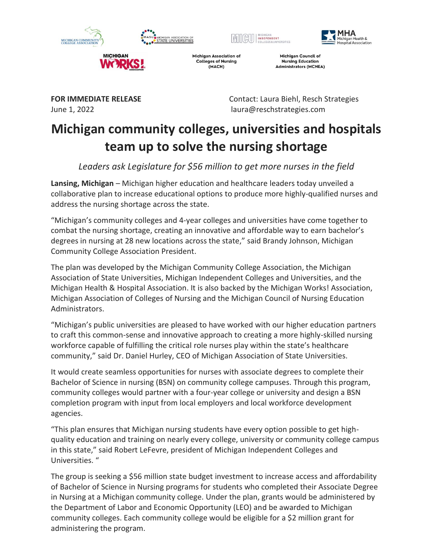







**Michigan Association of Colleges of Nursing** (MACN)

**Michigan Council of Nursing Education Administrators (MCNEA)** 

**MICHIGAN** 

**FOR IMMEDIATE RELEASE** Contact: Laura Biehl, Resch Strategies June 1, 2022 laura@reschstrategies.com

# **Michigan community colleges, universities and hospitals team up to solve the nursing shortage**

*Leaders ask Legislature for \$56 million to get more nurses in the field*

**Lansing, Michigan** – Michigan higher education and healthcare leaders today unveiled a collaborative plan to increase educational options to produce more highly-qualified nurses and address the nursing shortage across the state.

"Michigan's community colleges and 4-year colleges and universities have come together to combat the nursing shortage, creating an innovative and affordable way to earn bachelor's degrees in nursing at 28 new locations across the state," said Brandy Johnson, Michigan Community College Association President.

The plan was developed by the Michigan Community College Association, the Michigan Association of State Universities, Michigan Independent Colleges and Universities, and the Michigan Health & Hospital Association. It is also backed by the Michigan Works! Association, Michigan Association of Colleges of Nursing and the Michigan Council of Nursing Education Administrators.

"Michigan's public universities are pleased to have worked with our higher education partners to craft this common-sense and innovative approach to creating a more highly-skilled nursing workforce capable of fulfilling the critical role nurses play within the state's healthcare community," said Dr. Daniel Hurley, CEO of Michigan Association of State Universities.

It would create seamless opportunities for nurses with associate degrees to complete their Bachelor of Science in nursing (BSN) on community college campuses. Through this program, community colleges would partner with a four-year college or university and design a BSN completion program with input from local employers and local workforce development agencies.

"This plan ensures that Michigan nursing students have every option possible to get highquality education and training on nearly every college, university or community college campus in this state," said Robert LeFevre, president of Michigan Independent Colleges and Universities. "

The group is seeking a \$56 million state budget investment to increase access and affordability of Bachelor of Science in Nursing programs for students who completed their Associate Degree in Nursing at a Michigan community college. Under the plan, grants would be administered by the Department of Labor and Economic Opportunity (LEO) and be awarded to Michigan community colleges. Each community college would be eligible for a \$2 million grant for administering the program.